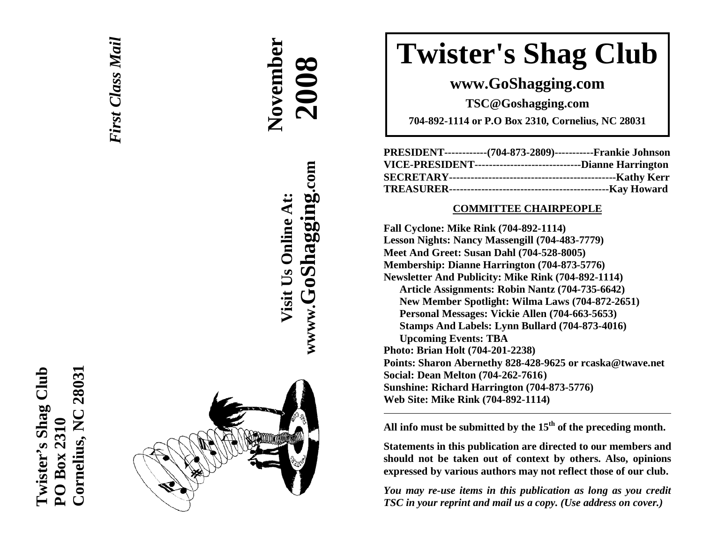



# **November**  November  **2008**

**wwww.GoShagging.com** www.GoShagging.com Visit Us Online At: **Visit Us Online At:**

# **Twister's Shag Club**

**www.GoShagging.com** 

**TSC@Goshagging.com** 

**704-892-1114 or P.O Box 2310, Cornelius, NC 28031** 

| PRESIDENT------------(704-873-2809)-----------Frankie Johnson   |  |
|-----------------------------------------------------------------|--|
| VICE-PRESIDENT--------------------------------Dianne Harrington |  |
|                                                                 |  |
|                                                                 |  |

#### **COMMITTEE CHAIRPEOPLE**

**Fall Cyclone: Mike Rink (704-892-1114) Lesson Nights: Nancy Massengill (704-483-7779) Meet And Greet: Susan Dahl (704-528-8005) Membership: Dianne Harrington (704-873-5776) Newsletter And Publicity: Mike Rink (704-892-1114) Article Assignments: Robin Nantz (704-735-6642) New Member Spotlight: Wilma Laws (704-872-2651) Personal Messages: Vickie Allen (704-663-5653) Stamps And Labels: Lynn Bullard (704-873-4016) Upcoming Events: TBA Photo: Brian Holt (704-201-2238) Points: Sharon Abernethy 828-428-9625 or rcaska@twave.net Social: Dean Melton (704-262-7616 ) Sunshine: Richard Harrington (704-873-5776) Web Site: Mike Rink (704-892-1114)** 

**All info must be submitted by the 15th of the preceding month.** 

**Statements in this publication are directed to our members and should not be taken out of context by others. Also, opinions expressed by various authors may not reflect those of our club.** 

*You may re-use items in this publication as long as you credit TSC in your reprint and mail us a copy. (Use address on cover.)*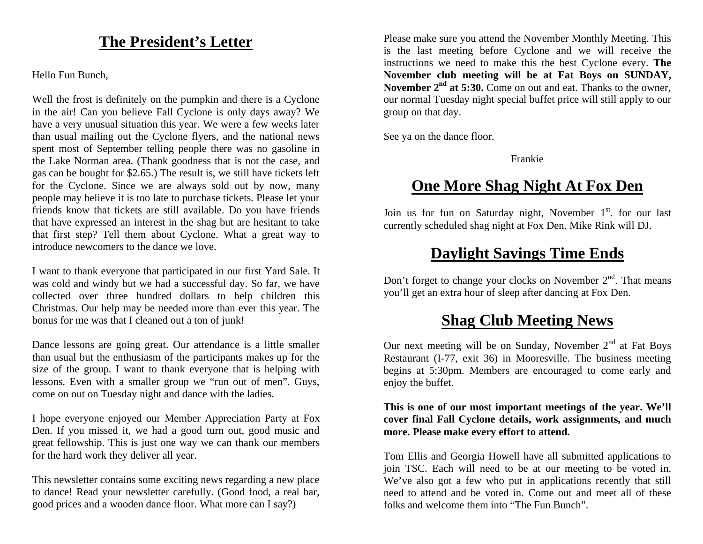### **The President's Letter**

Hello Fun Bunch,

Well the frost is definitely on the pumpkin and there is a Cyclone in the air! Can you believe Fall Cyclone is only days away? We have a very unusual situation this year. We were a few weeks later than usual mailing out the Cyclone flyers, and the national news spent most of September telling people there was no gasoline in the Lake Norman area. (Thank goodness that is not the case, and gas can be bought for \$2.65.) The result is, we still have tickets left for the Cyclone. Since we are always sold out by now, many people may believe it is too late to purchase tickets. Please let your friends know that tickets are still available. Do you have friends that have expressed an interest in the shag but are hesitant to take that first step? Tell them about Cyclone. What a great way to introduce newcomers to the dance we love.

I want to thank everyone that participated in our first Yard Sale. It was cold and windy but we had a successful day. So far, we have collected over three hundred dollars to help children this Christmas. Our help may be needed more than ever this year. The bonus for me was that I cleaned out a ton of junk!

Dance lessons are going great. Our attendance is a little smaller than usual but the enthusiasm of the participants makes up for the size of the group. I want to thank everyone that is helping with lessons. Even with a smaller group we "run out of men". Guys, come on out on Tuesday night and dance with the ladies.

I hope everyone enjoyed our Member Appreciation Party at Fox Den. If you missed it, we had a good turn out, good music and great fellowship. This is just one way we can thank our members for the hard work they deliver all year.

This newsletter contains some exciting news regarding a new place to dance! Read your newsletter carefully. (Good food, a real bar, good prices and a wooden dance floor. What more can I say?)

Please make sure you attend the November Monthly Meeting. This is the last meeting before Cyclone and we will receive the instructions we need to make this the best Cyclone every. **The November club meeting will be at Fat Boys on SUNDAY, November 2nd at 5:30.** Come on out and eat. Thanks to the owner, our normal Tuesday night special buffet price will still apply to our group on that day.

See ya on the dance floor.

Frankie

## **One More Shag Night At Fox Den**

Join us for fun on Saturday night, November 1<sup>st</sup>. for our last currently scheduled shag night at Fox Den. Mike Rink will DJ.

# **Daylight Savings Time Ends**

Don't forget to change your clocks on November  $2<sup>nd</sup>$ . That means you'll get an extra hour of sleep after dancing at Fox Den.

## **Shag Club Meeting News**

Our next meeting will be on Sunday, November  $2<sup>nd</sup>$  at Fat Boys Restaurant (I-77, exit 36) in Mooresville. The business meeting begins at 5:30pm. Members are encouraged to come early and enjoy the buffet.

#### **This is one of our most important meetings of the year. We'll cover final Fall Cyclone details, work assignments, and much more. Please make every effort to attend.**

Tom Ellis and Georgia Howell have all submitted applications to join TSC. Each will need to be at our meeting to be voted in. We've also got a few who put in applications recently that still need to attend and be voted in. Come out and meet all of these folks and welcome them into "The Fun Bunch".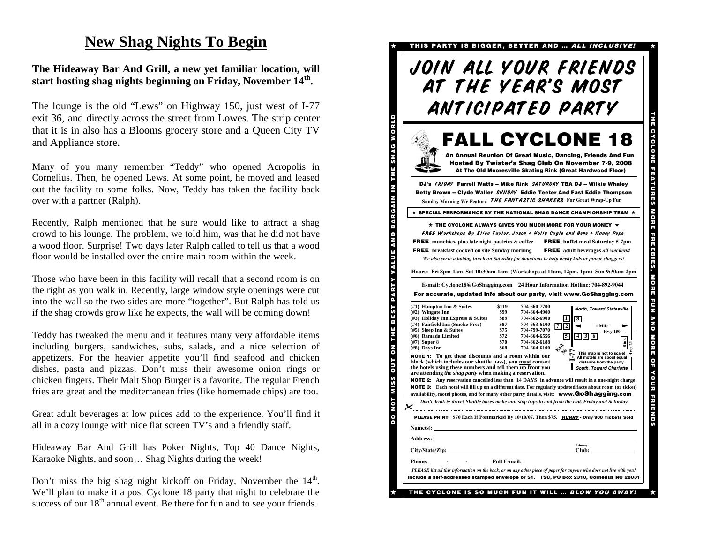### **New Shag Nights To Begin**

#### **The Hideaway Bar And Grill, a new yet familiar location, will start hosting shag nights beginning on Friday, November 14th.**

The lounge is the old "Lews" on Highway 150, just west of I-77 exit 36, and directly across the street from Lowes. The strip center that it is in also has a Blooms grocery store and a Queen City TV and Appliance store.

Many of you many remember "Teddy" who opened Acropolis in Cornelius. Then, he opened Lews. At some point, he moved and leased out the facility to some folks. Now, Teddy has taken the facility back over with a partner (Ralph).

Recently, Ralph mentioned that he sure would like to attract a shag crowd to his lounge. The problem, we told him, was that he did not have a wood floor. Surprise! Two days later Ralph called to tell us that a wood floor would be installed over the entire main room within the week.

Those who have been in this facility will recall that a second room is on the right as you walk in. Recently, large window style openings were cut into the wall so the two sides are more "together". But Ralph has told us if the shag crowds grow like he expects, the wall will be coming down!

Teddy has tweaked the menu and it features many very affordable items including burgers, sandwiches, subs, salads, and a nice selection of appetizers. For the heavier appetite you'll find seafood and chicken dishes, pasta and pizzas. Don't miss their awesome onion rings or chicken fingers. Their Malt Shop Burger is a favorite. The regular French fries are great and the mediterranean fries (like homemade chips) are too.

Great adult beverages at low prices add to the experience. You'll find it all in a cozy lounge with nice flat screen TV's and a friendly staff.

Hideaway Bar And Grill has Poker Nights, Top 40 Dance Nights, Karaoke Nights, and soon… Shag Nights during the week!

Don't miss the big shag night kickoff on Friday, November the  $14<sup>th</sup>$ . We'll plan to make it a post Cyclone 18 party that night to celebrate the success of our  $18<sup>th</sup>$  annual event. Be there for fun and to see your friends.

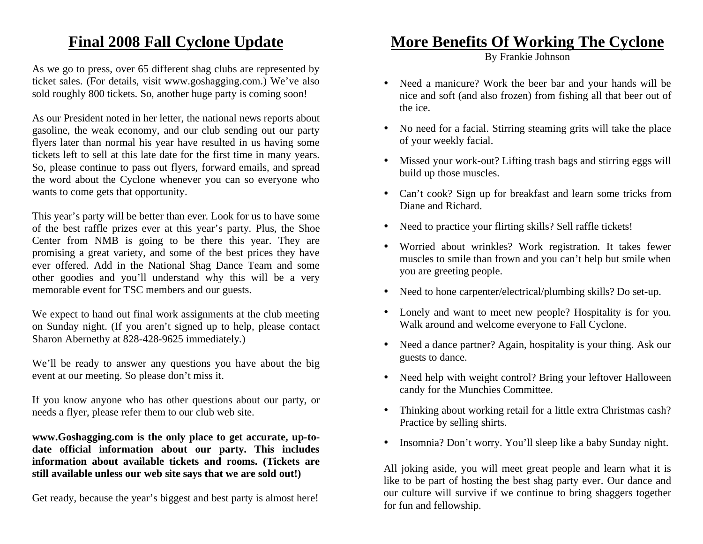### **Final 2008 Fall Cyclone Update**

As we go to press, over 65 different shag clubs are represented by ticket sales. (For details, visit www.goshagging.com.) We've also sold roughly 800 tickets. So, another huge party is coming soon!

As our President noted in her letter, the national news reports about gasoline, the weak economy, and our club sending out our party flyers later than normal his year have resulted in us having some tickets left to sell at this late date for the first time in many years. So, please continue to pass out flyers, forward emails, and spread the word about the Cyclone whenever you can so everyone who wants to come gets that opportunity.

This year's party will be better than ever. Look for us to have some of the best raffle prizes ever at this year's party. Plus, the Shoe Center from NMB is going to be there this year. They are promising a great variety, and some of the best prices they have ever offered. Add in the National Shag Dance Team and some other goodies and you'll understand why this will be a very memorable event for TSC members and our guests.

We expect to hand out final work assignments at the club meeting on Sunday night. (If you aren't signed up to help, please contact Sharon Abernethy at 828-428-9625 immediately.)

We'll be ready to answer any questions you have about the big event at our meeting. So please don't miss it.

If you know anyone who has other questions about our party, or needs a flyer, please refer them to our club web site.

**www.Goshagging.com is the only place to get accurate, up-todate official information about our party. This includes information about available tickets and rooms. (Tickets are still available unless our web site says that we are sold out!)** 

Get ready, because the year's biggest and best party is almost here!

### **More Benefits Of Working The Cyclone**

By Frankie Johnson

- Need a manicure? Work the beer bar and your hands will be nice and soft (and also frozen) from fishing all that beer out of the ice.
- No need for a facial. Stirring steaming grits will take the place of your weekly facial.
- Missed your work-out? Lifting trash bags and stirring eggs will build up those muscles.
- Can't cook? Sign up for breakfast and learn some tricks from Diane and Richard.
- Need to practice your flirting skills? Sell raffle tickets!
- Worried about wrinkles? Work registration. It takes fewer muscles to smile than frown and you can't help but smile when you are greeting people.
- Need to hone carpenter/electrical/plumbing skills? Do set-up.
- Lonely and want to meet new people? Hospitality is for you. Walk around and welcome everyone to Fall Cyclone.
- • Need a dance partner? Again, hospitality is your thing. Ask our guests to dance.
- Need help with weight control? Bring your leftover Halloween candy for the Munchies Committee.
- • Thinking about working retail for a little extra Christmas cash? Practice by selling shirts.
- •Insomnia? Don't worry. You'll sleep like a baby Sunday night.

All joking aside, you will meet great people and learn what it is like to be part of hosting the best shag party ever. Our dance and our culture will survive if we continue to bring shaggers together for fun and fellowship.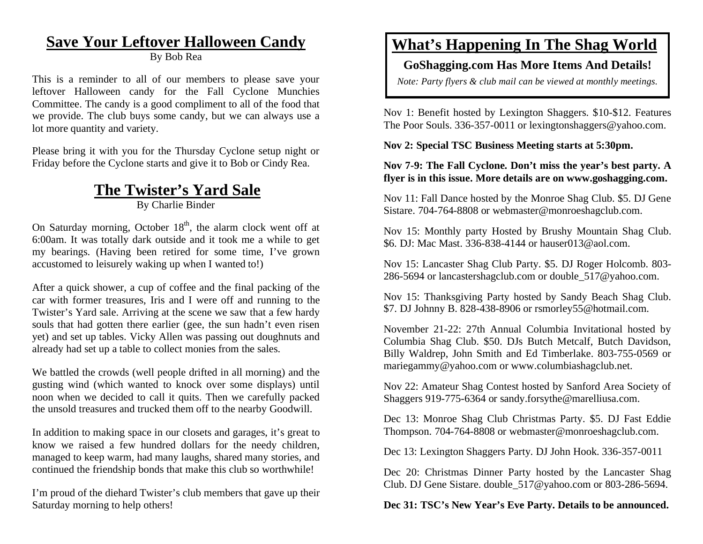# **Save Your Leftover Halloween Candy**

By Bob Rea

This is a reminder to all of our members to please save your leftover Halloween candy for the Fall Cyclone Munchies Committee. The candy is a good compliment to all of the food that we provide. The club buys some candy, but we can always use a lot more quantity and variety.

Please bring it with you for the Thursday Cyclone setup night or Friday before the Cyclone starts and give it to Bob or Cindy Rea.

# **The Twister's Yard Sale**

By Charlie Binder

On Saturday morning, October  $18<sup>th</sup>$ , the alarm clock went off at 6:00am. It was totally dark outside and it took me a while to get my bearings. (Having been retired for some time, I've grown accustomed to leisurely waking up when I wanted to!)

After a quick shower, a cup of coffee and the final packing of the car with former treasures, Iris and I were off and running to the Twister's Yard sale. Arriving at the scene we saw that a few hardy souls that had gotten there earlier (gee, the sun hadn't even risen yet) and set up tables. Vicky Allen was passing out doughnuts and already had set up a table to collect monies from the sales.

We battled the crowds (well people drifted in all morning) and the gusting wind (which wanted to knock over some displays) until noon when we decided to call it quits. Then we carefully packed the unsold treasures and trucked them off to the nearby Goodwill.

In addition to making space in our closets and garages, it's great to know we raised a few hundred dollars for the needy children, managed to keep warm, had many laughs, shared many stories, and continued the friendship bonds that make this club so worthwhile!

I'm proud of the diehard Twister's club members that gave up their Saturday morning to help others!

# **What's Happening In The Shag World**

#### **GoShagging.com Has More Items And Details!**

*Note: Party flyers & club mail can be viewed at monthly meetings.* 

Nov 1: Benefit hosted by Lexington Shaggers. \$10-\$12. Features The Poor Souls. 336-357-0011 or lexingtonshaggers@yahoo.com.

**Nov 2: Special TSC Business Meeting starts at 5:30pm.** 

#### **Nov 7-9: The Fall Cyclone. Don't miss the year's best party. A flyer is in this issue. More details are on www.goshagging.com.**

Nov 11: Fall Dance hosted by the Monroe Shag Club. \$5. DJ Gene Sistare. 704-764-8808 or webmaster@monroeshagclub.com.

Nov 15: Monthly party Hosted by Brushy Mountain Shag Club. \$6. DJ: Mac Mast. 336-838-4144 or hauser013@aol.com.

Nov 15: Lancaster Shag Club Party. \$5. DJ Roger Holcomb. 803- 286-5694 or lancastershagclub.com or double\_517@yahoo.com.

Nov 15: Thanksgiving Party hosted by Sandy Beach Shag Club. \$7. DJ Johnny B. 828-438-8906 or rsmorley55@hotmail.com.

November 21-22: 27th Annual Columbia Invitational hosted by Columbia Shag Club. \$50. DJs Butch Metcalf, Butch Davidson, Billy Waldrep, John Smith and Ed Timberlake. 803-755-0569 or mariegammy@yahoo.com or www.columbiashagclub.net.

Nov 22: Amateur Shag Contest hosted by Sanford Area Society of Shaggers 919-775-6364 or sandy.forsythe@marelliusa.com.

Dec 13: Monroe Shag Club Christmas Party. \$5. DJ Fast Eddie Thompson. 704-764-8808 or webmaster@monroeshagclub.com.

Dec 13: Lexington Shaggers Party. DJ John Hook. 336-357-0011

Dec 20: Christmas Dinner Party hosted by the Lancaster Shag Club. DJ Gene Sistare. double\_517@yahoo.com or 803-286-5694.

#### **Dec 31: TSC's New Year's Eve Party. Details to be announced.**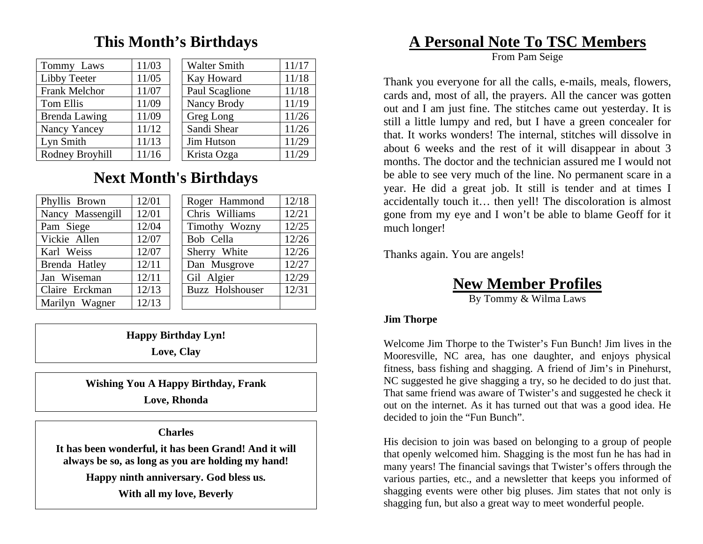### **This Month's Birthdays**

| Tommy Laws      | 11/03 | <b>Walter Smith</b> | 11/17 |
|-----------------|-------|---------------------|-------|
| Libby Teeter    | 11/05 | Kay Howard          | 11/18 |
| Frank Melchor   | 11/07 | Paul Scaglione      | 11/18 |
| Tom Ellis       | 11/09 | Nancy Brody         | 11/19 |
| Brenda Lawing   | 11/09 | Greg Long           | 11/26 |
| Nancy Yancey    | 11/12 | Sandi Shear         | 11/26 |
| Lyn Smith       | 11/13 | Jim Hutson          | 11/29 |
| Rodney Broyhill | 11/16 | Krista Ozga         | 11/29 |

# **Next Month's Birthdays**

| Phyllis Brown    | 12/01 | Roger Hammond   | 12/18 |
|------------------|-------|-----------------|-------|
| Nancy Massengill | 12/01 | Chris Williams  | 12/21 |
| Pam Siege        | 12/04 | Timothy Wozny   | 12/25 |
| Vickie Allen     | 12/07 | Bob Cella       | 12/26 |
| Karl Weiss       | 12/07 | Sherry White    | 12/26 |
| Brenda Hatley    | 12/11 | Dan Musgrove    | 12/27 |
| Jan Wiseman      | 12/11 | Gil Algier      | 12/29 |
| Claire Erckman   | 12/13 | Buzz Holshouser | 12/31 |
| Marilyn Wagner   | 12/13 |                 |       |

**Happy Birthday Lyn!** 

**Love, Clay** 

**Wishing You A Happy Birthday, Frank** 

**Love, Rhonda** 

**Charles** 

**It has been wonderful, it has been Grand! And it will always be so, as long as you are holding my hand!** 

**Happy ninth anniversary. God bless us.** 

**With all my love, Beverly** 

# **A Personal Note To TSC Members**

From Pam Seige

Thank you everyone for all the calls, e-mails, meals, flowers, cards and, most of all, the prayers. All the cancer was gotten out and I am just fine. The stitches came out yesterday. It is still a little lumpy and red, but I have a green concealer for that. It works wonders! The internal, stitches will dissolve in about 6 weeks and the rest of it will disappear in about 3 months. The doctor and the technician assured me I would not be able to see very much of the line. No permanent scare in a year. He did a great job. It still is tender and at times I accidentally touch it… then yell! The discoloration is almost gone from my eye and I won't be able to blame Geoff for it much longer!

Thanks again. You are angels!

**New Member Profiles**

By Tommy & Wilma Laws

#### **Jim Thorpe**

Welcome Jim Thorpe to the Twister's Fun Bunch! Jim lives in the Mooresville, NC area, has one daughter, and enjoys physical fitness, bass fishing and shagging. A friend of Jim's in Pinehurst, NC suggested he give shagging a try, so he decided to do just that. That same friend was aware of Twister's and suggested he check it out on the internet. As it has turned out that was a good idea. He decided to join the "Fun Bunch".

His decision to join was based on belonging to a group of people that openly welcomed him. Shagging is the most fun he has had in many years! The financial savings that Twister's offers through the various parties, etc., and a newsletter that keeps you informed of shagging events were other big pluses. Jim states that not only is shagging fun, but also a great way to meet wonderful people.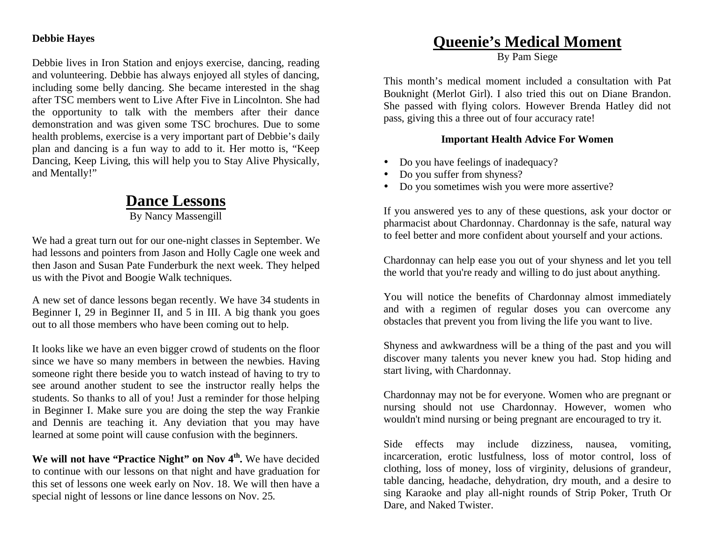#### **Debbie Hayes**

Debbie lives in Iron Station and enjoys exercise, dancing, reading and volunteering. Debbie has always enjoyed all styles of dancing, including some belly dancing. She became interested in the shag after TSC members went to Live After Five in Lincolnton. She had the opportunity to talk with the members after their dance demonstration and was given some TSC brochures. Due to some health problems, exercise is a very important part of Debbie's daily plan and dancing is a fun way to add to it. Her motto is, "Keep Dancing, Keep Living, this will help you to Stay Alive Physically, and Mentally!"

### **Dance Lessons**

By Nancy Massengill

We had a great turn out for our one-night classes in September. We had lessons and pointers from Jason and Holly Cagle one week and then Jason and Susan Pate Funderburk the next week. They helped us with the Pivot and Boogie Walk techniques.

A new set of dance lessons began recently. We have 34 students in Beginner I, 29 in Beginner II, and 5 in III. A big thank you goes out to all those members who have been coming out to help.

It looks like we have an even bigger crowd of students on the floor since we have so many members in between the newbies. Having someone right there beside you to watch instead of having to try to see around another student to see the instructor really helps the students. So thanks to all of you! Just a reminder for those helping in Beginner I. Make sure you are doing the step the way Frankie and Dennis are teaching it. Any deviation that you may have learned at some point will cause confusion with the beginners.

**We will not have "Practice Night" on Nov 4th.** We have decided to continue with our lessons on that night and have graduation for this set of lessons one week early on Nov. 18. We will then have a special night of lessons or line dance lessons on Nov. 25.

### **Queenie's Medical Moment**

By Pam Siege

This month's medical moment included a consultation with Pat Bouknight (Merlot Girl). I also tried this out on Diane Brandon. She passed with flying colors. However Brenda Hatley did not pass, giving this a three out of four accuracy rate!

#### **Important Health Advice For Women**

- Do you have feelings of inadequacy?
- Do you suffer from shyness?
- Do you sometimes wish you were more assertive?

If you answered yes to any of these questions, ask your doctor or pharmacist about Chardonnay. Chardonnay is the safe, natural way to feel better and more confident about yourself and your actions.

Chardonnay can help ease you out of your shyness and let you tell the world that you're ready and willing to do just about anything.

You will notice the benefits of Chardonnay almost immediately and with a regimen of regular doses you can overcome any obstacles that prevent you from living the life you want to live.

Shyness and awkwardness will be a thing of the past and you will discover many talents you never knew you had. Stop hiding and start living, with Chardonnay.

Chardonnay may not be for everyone. Women who are pregnant or nursing should not use Chardonnay. However, women who wouldn't mind nursing or being pregnant are encouraged to try it.

Side effects may include dizziness, nausea, vomiting, incarceration, erotic lustfulness, loss of motor control, loss of clothing, loss of money, loss of virginity, delusions of grandeur, table dancing, headache, dehydration, dry mouth, and a desire to sing Karaoke and play all-night rounds of Strip Poker, Truth Or Dare, and Naked Twister.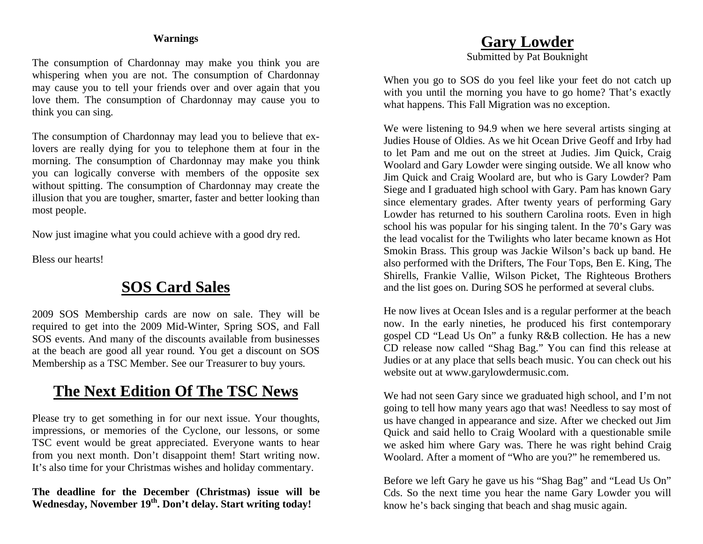#### **Warnings**

The consumption of Chardonnay may make you think you are whispering when you are not. The consumption of Chardonnay may cause you to tell your friends over and over again that you love them. The consumption of Chardonnay may cause you to think you can sing.

The consumption of Chardonnay may lead you to believe that exlovers are really dying for you to telephone them at four in the morning. The consumption of Chardonnay may make you think you can logically converse with members of the opposite sex without spitting. The consumption of Chardonnay may create the illusion that you are tougher, smarter, faster and better looking than most people.

Now just imagine what you could achieve with a good dry red.

Bless our hearts!

### **SOS Card Sales**

2009 SOS Membership cards are now on sale. They will be required to get into the 2009 Mid-Winter, Spring SOS, and Fall SOS events. And many of the discounts available from businesses at the beach are good all year round. You get a discount on SOS Membership as a TSC Member. See our Treasurer to buy yours.

### **The Next Edition Of The TSC News**

Please try to get something in for our next issue. Your thoughts, impressions, or memories of the Cyclone, our lessons, or some TSC event would be great appreciated. Everyone wants to hear from you next month. Don't disappoint them! Start writing now. It's also time for your Christmas wishes and holiday commentary.

**The deadline for the December (Christmas) issue will be Wednesday, November 19th. Don't delay. Start writing today!** 

#### **Gary Lowder**

Submitted by Pat Bouknight

When you go to SOS do you feel like your feet do not catch up with you until the morning you have to go home? That's exactly what happens. This Fall Migration was no exception.

We were listening to 94.9 when we here several artists singing at Judies House of Oldies. As we hit Ocean Drive Geoff and Irby had to let Pam and me out on the street at Judies. Jim Quick, Craig Woolard and Gary Lowder were singing outside. We all know who Jim Quick and Craig Woolard are, but who is Gary Lowder? Pam Siege and I graduated high school with Gary. Pam has known Gary since elementary grades. After twenty years of performing Gary Lowder has returned to his southern Carolina roots. Even in high school his was popular for his singing talent. In the 70's Gary was the lead vocalist for the Twilights who later became known as Hot Smokin Brass. This group was Jackie Wilson's back up band. He also performed with the Drifters, The Four Tops, Ben E. King, The Shirells, Frankie Vallie, Wilson Picket, The Righteous Brothers and the list goes on. During SOS he performed at several clubs.

He now lives at Ocean Isles and is a regular performer at the beach now. In the early nineties, he produced his first contemporary gospel CD "Lead Us On" a funky R&B collection. He has a new CD release now called "Shag Bag." You can find this release at Judies or at any place that sells beach music. You can check out his website out at www.garylowdermusic.com.

We had not seen Gary since we graduated high school, and I'm not going to tell how many years ago that was! Needless to say most of us have changed in appearance and size. After we checked out Jim Quick and said hello to Craig Woolard with a questionable smile we asked him where Gary was. There he was right behind Craig Woolard. After a moment of "Who are you?" he remembered us.

Before we left Gary he gave us his "Shag Bag" and "Lead Us On" Cds. So the next time you hear the name Gary Lowder you will know he's back singing that beach and shag music again.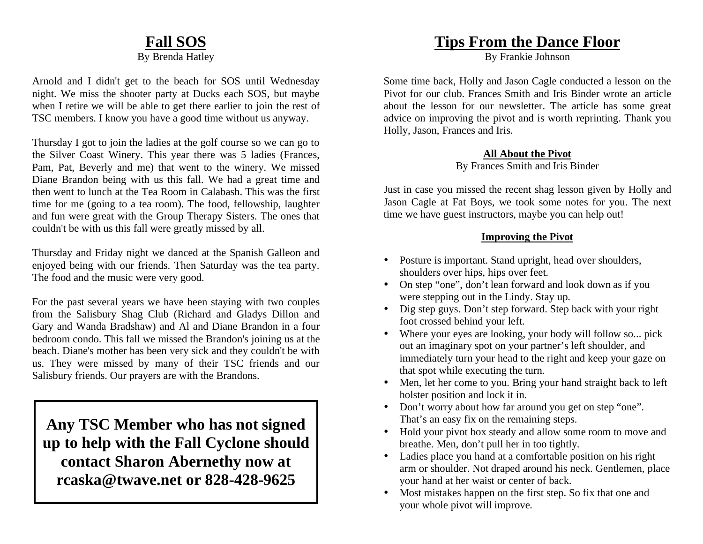#### **Fall SOS** By Brenda Hatley

Arnold and I didn't get to the beach for SOS until Wednesday night. We miss the shooter party at Ducks each SOS, but maybe when I retire we will be able to get there earlier to join the rest of TSC members. I know you have a good time without us anyway.

Thursday I got to join the ladies at the golf course so we can go to the Silver Coast Winery. This year there was 5 ladies (Frances, Pam, Pat, Beverly and me) that went to the winery. We missed Diane Brandon being with us this fall. We had a great time and then went to lunch at the Tea Room in Calabash. This was the first time for me (going to a tea room). The food, fellowship, laughter and fun were great with the Group Therapy Sisters. The ones that couldn't be with us this fall were greatly missed by all.

Thursday and Friday night we danced at the Spanish Galleon and enjoyed being with our friends. Then Saturday was the tea party. The food and the music were very good.

For the past several years we have been staying with two couples from the Salisbury Shag Club (Richard and Gladys Dillon and Gary and Wanda Bradshaw) and Al and Diane Brandon in a four bedroom condo. This fall we missed the Brandon's joining us at the beach. Diane's mother has been very sick and they couldn't be with us. They were missed by many of their TSC friends and our Salisbury friends. Our prayers are with the Brandons.

**Any TSC Member who has not signed up to help with the Fall Cyclone should contact Sharon Abernethy now at rcaska@twave.net or 828-428-9625** 

### **Tips From the Dance Floor**

By Frankie Johnson

Some time back, Holly and Jason Cagle conducted a lesson on the Pivot for our club. Frances Smith and Iris Binder wrote an article about the lesson for our newsletter. The article has some great advice on improving the pivot and is worth reprinting. Thank you Holly, Jason, Frances and Iris.

#### **All About the Pivot**

#### By Frances Smith and Iris Binder

Just in case you missed the recent shag lesson given by Holly and Jason Cagle at Fat Boys, we took some notes for you. The next time we have guest instructors, maybe you can help out!

#### **Improving the Pivot**

- Posture is important. Stand upright, head over shoulders, shoulders over hips, hips over feet.
- On step "one", don't lean forward and look down as if you were stepping out in the Lindy. Stay up.
- Dig step guys. Don't step forward. Step back with your right foot crossed behind your left.
- Where your eyes are looking, your body will follow so... pick out an imaginary spot on your partner's left shoulder, and immediately turn your head to the right and keep your gaze on that spot while executing the turn.
- • Men, let her come to you. Bring your hand straight back to left holster position and lock it in.
- Don't worry about how far around you get on step "one". That's an easy fix on the remaining steps.
- Hold your pivot box steady and allow some room to move and breathe. Men, don't pull her in too tightly.
- Ladies place you hand at a comfortable position on his right arm or shoulder. Not draped around his neck. Gentlemen, place your hand at her waist or center of back.
- • Most mistakes happen on the first step. So fix that one and your whole pivot will improve.